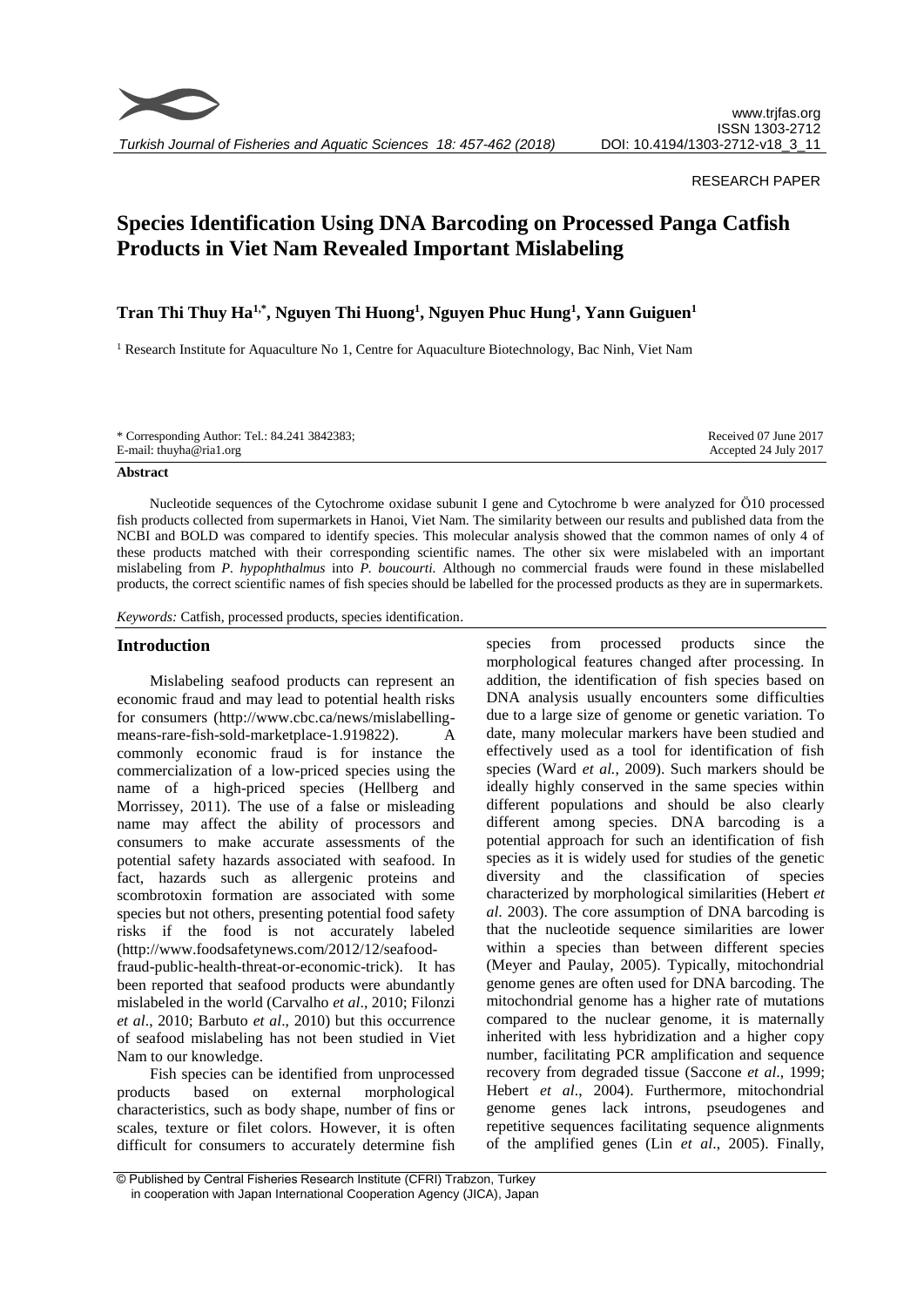

*Turkish Journal of Fisheries and Aquatic Sciences 18: 457-462 (2018)*

## RESEARCH PAPER

# **Species Identification Using DNA Barcoding on Processed Panga Catfish Products in Viet Nam Revealed Important Mislabeling**

## **Tran Thi Thuy Ha1,\* , Nguyen Thi Huong<sup>1</sup> , Nguyen Phuc Hung<sup>1</sup> , Yann Guiguen<sup>1</sup>**

<sup>1</sup> Research Institute for Aquaculture No 1, Centre for Aquaculture Biotechnology, Bac Ninh, Viet Nam

| E-mail: thuyha@ria1.org | * Corresponding Author: Tel.: 84.241 3842383; | Received 07 June 2017 |
|-------------------------|-----------------------------------------------|-----------------------|
|                         |                                               | Accepted 24 July 2017 |

#### **Abstract**

Nucleotide sequences of the Cytochrome oxidase subunit I gene and Cytochrome b were analyzed for Ö10 processed fish products collected from supermarkets in Hanoi, Viet Nam. The similarity between our results and published data from the NCBI and BOLD was compared to identify species. This molecular analysis showed that the common names of only 4 of these products matched with their corresponding scientific names. The other six were mislabeled with an important mislabeling from *P. hypophthalmus* into *P. boucourti.* Although no commercial frauds were found in these mislabelled products, the correct scientific names of fish species should be labelled for the processed products as they are in supermarkets.

*Keywords:* Catfish, processed products, species identification.

#### **Introduction**

Mislabeling seafood products can represent an economic fraud and may lead to potential health risks for consumers (http://www.cbc.ca/news/mislabellingmeans-rare-fish-sold-marketplace-1.919822). A commonly economic fraud is for instance the commercialization of a low-priced species using the name of a high-priced species (Hellberg and Morrissey, 2011). The use of a false or misleading name may affect the ability of processors and consumers to make accurate assessments of the potential safety hazards associated with seafood. In fact, hazards such as allergenic proteins and scombrotoxin formation are associated with some species but not others, presenting potential food safety risks if the food is not accurately labeled (http://www.foodsafetynews.com/2012/12/seafoodfraud-public-health-threat-or-economic-trick). It has been reported that seafood products were abundantly mislabeled in the world (Carvalho *et al*., 2010; Filonzi *et al*., 2010; Barbuto *et al*., 2010) but this occurrence of seafood mislabeling has not been studied in Viet Nam to our knowledge.

Fish species can be identified from unprocessed products based on external morphological characteristics, such as body shape, number of fins or scales, texture or filet colors. However, it is often difficult for consumers to accurately determine fish

species from processed products since the morphological features changed after processing. In addition, the identification of fish species based on DNA analysis usually encounters some difficulties due to a large size of genome or genetic variation. To date, many molecular markers have been studied and effectively used as a tool for identification of fish species (Ward *et al.*, 2009). Such markers should be ideally highly conserved in the same species within different populations and should be also clearly different among species. DNA barcoding is a potential approach for such an identification of fish species as it is widely used for studies of the genetic diversity and the classification of species characterized by morphological similarities (Hebert *et al*. 2003). The core assumption of DNA barcoding is that the nucleotide sequence similarities are lower within a species than between different species (Meyer and Paulay, 2005). Typically, mitochondrial genome genes are often used for DNA barcoding. The mitochondrial genome has a higher rate of mutations compared to the nuclear genome, it is maternally inherited with less hybridization and a higher copy number, facilitating PCR amplification and sequence recovery from degraded tissue (Saccone *et al*., 1999; Hebert *et al*., 2004). Furthermore, mitochondrial genome genes lack introns, pseudogenes and repetitive sequences facilitating sequence alignments of the amplified genes (Lin *et al*., 2005). Finally,

<sup>©</sup> Published by Central Fisheries Research Institute (CFRI) Trabzon, Turkey in cooperation with Japan International Cooperation Agency (JICA), Japan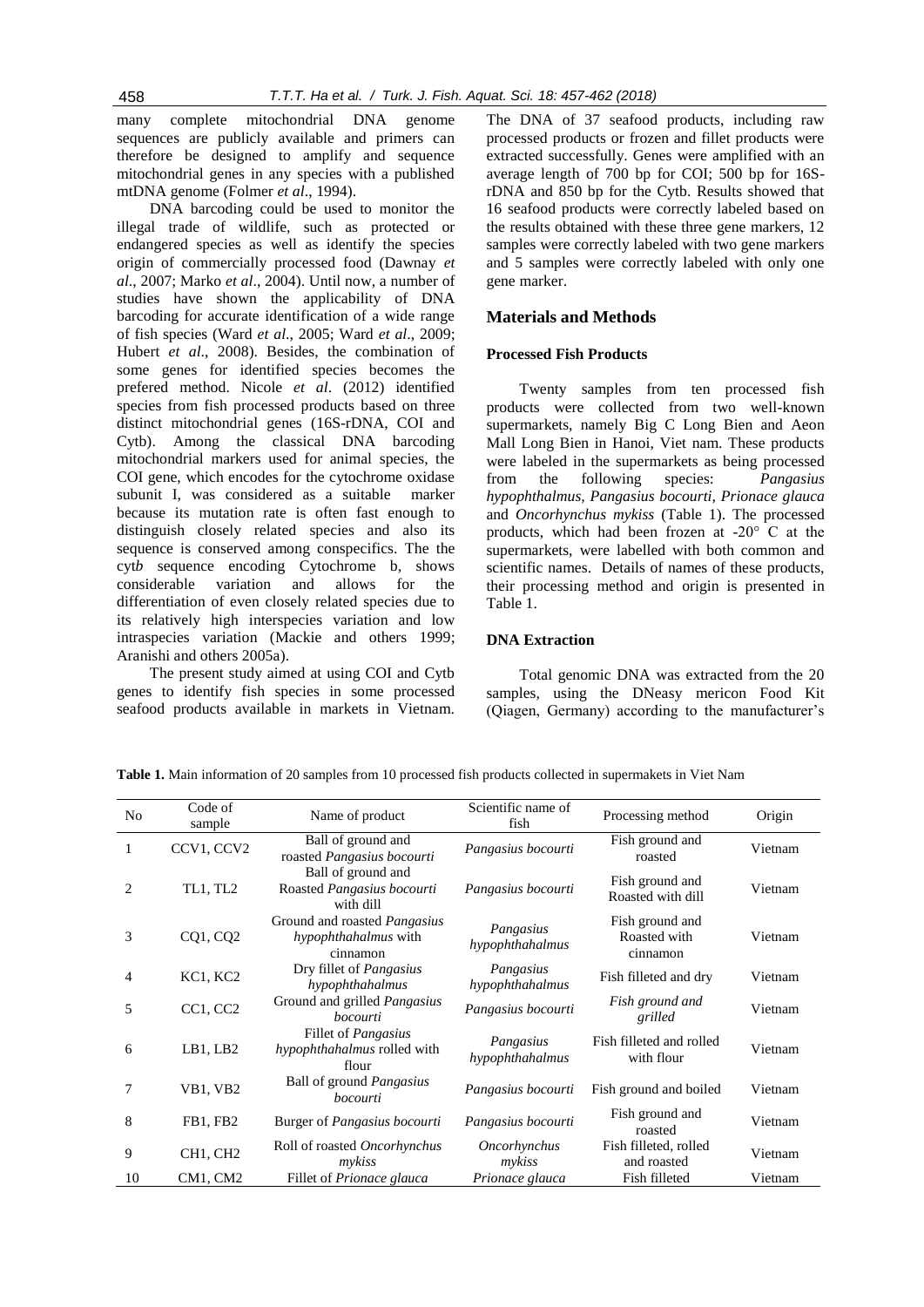many complete mitochondrial DNA genome sequences are publicly available and primers can therefore be designed to amplify and sequence mitochondrial genes in any species with a published mtDNA genome (Folmer *et al*., 1994).

DNA barcoding could be used to monitor the illegal trade of wildlife, such as protected or endangered species as well as identify the species origin of commercially processed food (Dawnay *et al*., 2007; Marko *et al*., 2004). Until now, a number of studies have shown the applicability of DNA barcoding for accurate identification of a wide range of fish species (Ward *et al*., 2005; Ward *et al*., 2009; Hubert *et al*., 2008). Besides, the combination of some genes for identified species becomes the prefered method. Nicole *et al*. (2012) identified species from fish processed products based on three distinct mitochondrial genes (16S-rDNA, COI and Cytb). Among the classical DNA barcoding mitochondrial markers used for animal species, the COI gene, which encodes for the cytochrome oxidase subunit I, was considered as a suitable marker because its [mutation](https://en.wikipedia.org/wiki/Mutation) rate is often fast enough to distinguish closely related [species](https://en.wikipedia.org/wiki/Species) and also its sequence is conserved among conspecifics. The the cyt*b* sequence encoding Cytochrome b, shows considerable variation and allows for the differentiation of even closely related species due to its relatively high interspecies variation and low intraspecies variation [\(Mackie and others 1999;](http://onlinelibrary.wiley.com/doi/10.1111/j.1541-4337.2008.00046.x/full#b90) [Aranishi and others 2005a\)](http://onlinelibrary.wiley.com/doi/10.1111/j.1541-4337.2008.00046.x/full#b9).

The present study aimed at using COI and Cytb genes to identify fish species in some processed seafood products available in markets in Vietnam.

The DNA of 37 seafood products, including raw processed products or frozen and fillet products were extracted successfully. Genes were amplified with an average length of 700 bp for COI; 500 bp for 16SrDNA and 850 bp for the Cytb. Results showed that 16 seafood products were correctly labeled based on the results obtained with these three gene markers, 12 samples were correctly labeled with two gene markers and 5 samples were correctly labeled with only one gene marker.

## **Materials and Methods**

## **Processed Fish Products**

Twenty samples from ten processed fish products were collected from two well-known supermarkets, namely Big C Long Bien and Aeon Mall Long Bien in Hanoi, Viet nam. These products were labeled in the supermarkets as being processed from the following species: *Pangasius hypophthalmus, Pangasius bocourti, Prionace glauca* and *Oncorhynchus mykiss* (Table 1). The processed products, which had been frozen at -20° C at the supermarkets, were labelled with both common and scientific names. Details of names of these products, their processing method and origin is presented in Table 1.

#### **DNA Extraction**

Total genomic DNA was extracted from the 20 samples, using the DNeasy mericon Food Kit (Qiagen, Germany) according to the manufacturer's

| No | Code of<br>sample                 | Name of product                                                         | Scientific name of<br>fish   | Processing method                           | Origin  |
|----|-----------------------------------|-------------------------------------------------------------------------|------------------------------|---------------------------------------------|---------|
|    | CCV1, CCV2                        | Ball of ground and<br>roasted Pangasius bocourti                        | Pangasius bocourti           | Fish ground and<br>roasted                  | Vietnam |
| 2  | TL1, TL2                          | Ball of ground and<br>Roasted Pangasius bocourti<br>with dill           | Pangasius bocourti           | Fish ground and<br>Roasted with dill        | Vietnam |
| 3  | CQ1, CQ2                          | Ground and roasted <i>Pangasius</i><br>hypophthahalmus with<br>cinnamon | Pangasius<br>hypophthahalmus | Fish ground and<br>Roasted with<br>cinnamon | Vietnam |
| 4  | KC1, KC2                          | Dry fillet of <i>Pangasius</i><br>hypophthahalmus                       | Pangasius<br>hypophthahalmus | Fish filleted and dry                       | Vietnam |
| 5  | CC1, CC2                          | Ground and grilled Pangasius<br>bocourti                                | Pangasius bocourti           | Fish ground and<br>grilled                  | Vietnam |
| 6  | LB1, LB2                          | Fillet of <i>Pangasius</i><br>hypophthahalmus rolled with<br>flour      | Pangasius<br>hypophthahalmus | Fish filleted and rolled<br>with flour      | Vietnam |
| 7  | VB1, VB2                          | Ball of ground <i>Pangasius</i><br>bocourti                             | Pangasius bocourti           | Fish ground and boiled                      | Vietnam |
| 8  | FB1, FB2                          | Burger of <i>Pangasius bocourti</i>                                     | Pangasius bocourti           | Fish ground and<br>roasted                  | Vietnam |
| 9  | CH <sub>1</sub> , CH <sub>2</sub> | Roll of roasted Oncorhynchus<br>mykiss                                  | Oncorhynchus<br>mykiss       | Fish filleted, rolled<br>and roasted        | Vietnam |
| 10 | CM1, CM2                          | Fillet of Prionace glauca                                               | Prionace glauca              | Fish filleted                               | Vietnam |

**Table 1.** Main information of 20 samples from 10 processed fish products collected in supermakets in Viet Nam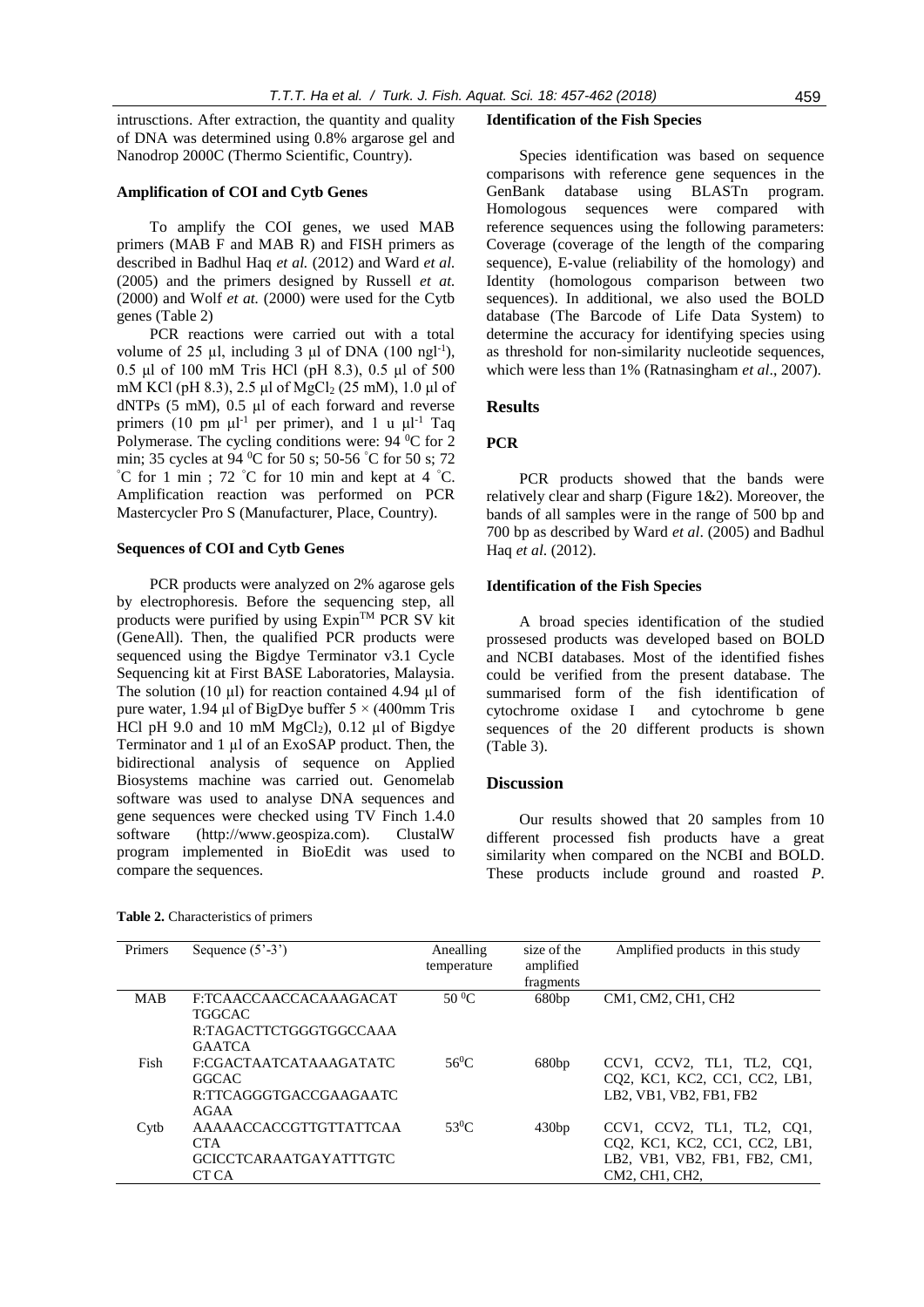intrusctions. After extraction, the quantity and quality of DNA was determined using 0.8% argarose gel and Nanodrop 2000C (Thermo Scientific, Country).

## **Amplification of COI and Cytb Genes**

To amplify the COI genes, we used MAB primers (MAB F and MAB R) and FISH primers as described in Badhul Haq *et al.* (2012) and Ward *et al.* (2005) and the primers designed by Russell *et at.* (2000) and Wolf *et at.* (2000) were used for the Cytb genes (Table 2)

PCR reactions were carried out with a total volume of 25  $\mu$ l, including 3  $\mu$ l of DNA (100 ngl<sup>-1</sup>), 0.5 μl of 100 mM Tris HCl (pH 8.3), 0.5 μl of 500 mM KCl (pH 8.3), 2.5 μl of MgCl<sub>2</sub> (25 mM), 1.0 μl of dNTPs (5 mM), 0.5 µl of each forward and reverse primers (10 pm  $\mu l^{-1}$  per primer), and 1 u  $\mu l^{-1}$  Taq Polymerase. The cycling conditions were: 94 °C for 2 min; 35 cycles at 94 <sup>0</sup>C for 50 s; 50-56 <sup>°</sup>C for 50 s; 72  $^{\circ}$ C for 1 min; 72  $^{\circ}$ C for 10 min and kept at 4  $^{\circ}$ C. Amplification reaction was performed on PCR Mastercycler Pro S (Manufacturer, Place, Country).

#### **Sequences of COI and Cytb Genes**

PCR products were analyzed on 2% agarose gels by electrophoresis. Before the sequencing step, all products were purified by using Expin™ PCR SV kit (GeneAll). Then, the qualified PCR products were sequenced using the Bigdye Terminator v3.1 Cycle Sequencing kit at First BASE Laboratories, Malaysia. The solution (10 µl) for reaction contained 4.94 µl of pure water, 1.94 µl of BigDye buffer  $5 \times (400$ mm Tris HCl pH 9.0 and 10 mM  $MgCl<sub>2</sub>$ ), 0.12 µl of Bigdye Terminator and 1 µl of an ExoSAP product. Then, the bidirectional analysis of sequence on Applied Biosystems machine was carried out. Genomelab software was used to analyse DNA sequences and gene sequences were checked using TV Finch 1.4.0 software (http://www.geospiza.com). ClustalW program implemented in BioEdit was used to compare the sequences.

#### **Identification of the Fish Species**

Species identification was based on sequence comparisons with reference gene sequences in the GenBank database using BLASTn program. Homologous sequences were compared with reference sequences using the following parameters: Coverage (coverage of the length of the comparing sequence), E-value (reliability of the homology) and Identity (homologous comparison between two sequences). In additional, we also used the BOLD database (The Barcode of Life Data System) to determine the accuracy for identifying species using as threshold for non-similarity nucleotide sequences, which were less than 1% (Ratnasingham *et al*., 2007).

#### **Results**

#### **PCR**

PCR products showed that the bands were relatively clear and sharp (Figure 1&2). Moreover, the bands of all samples were in the range of 500 bp and 700 bp as described by Ward *et al*. (2005) and Badhul Haq *et al*. (2012).

#### **Identification of the Fish Species**

A broad species identification of the studied prossesed products was developed based on BOLD and NCBI databases. Most of the identified fishes could be verified from the present database. The summarised form of the fish identification of cytochrome oxidase I and cytochrome b gene sequences of the 20 different products is shown (Table 3).

#### **Discussion**

Our results showed that 20 samples from 10 different processed fish products have a great similarity when compared on the NCBI and BOLD. These products include ground and roasted *P.* 

| Primers    | Sequence $(5^{\circ} - 3^{\circ})$ | Anealling<br>temperature | size of the<br>amplified<br>fragments | Amplified products in this study          |
|------------|------------------------------------|--------------------------|---------------------------------------|-------------------------------------------|
| <b>MAB</b> | F:TCAACCAACCACAAAGACAT             | $50\,^0C$                | 680bp                                 | CM1, CM2, CH1, CH2                        |
|            | <b>TGGCAC</b>                      |                          |                                       |                                           |
|            | R:TAGACTTCTGGGTGGCCAAA             |                          |                                       |                                           |
|            | <b>GAATCA</b>                      |                          |                                       |                                           |
| Fish       | F:CGACTAATCATAAAGATATC             | $56^{\circ}$ C           | 680bp                                 | $CCVI$ , $CCV2$ , $TL1$ , $TL2$ , $CQ1$ , |
|            | <b>GGCAC</b>                       |                          |                                       | CO2, KC1, KC2, CC1, CC2, LB1,             |
|            | R:TTCAGGGTGACCGAAGAATC             |                          |                                       | LB2, VB1, VB2, FB1, FB2                   |
|            | AGAA                               |                          |                                       |                                           |
| Cytb       | AAAAACCACCGTTGTTATTCAA             | $53^0C$                  | 430bp                                 | CCV1, CCV2, TL1, TL2, CO1,                |
|            | <b>CTA</b>                         |                          |                                       | CO2, KC1, KC2, CC1, CC2, LB1,             |
|            | <b>GCICCTCARAATGAYATTTGTC</b>      |                          |                                       | LB2, VB1, VB2, FB1, FB2, CM1,             |
|            | CT CA                              |                          |                                       | CM2, CH1, CH2.                            |

**Table 2.** Characteristics of primers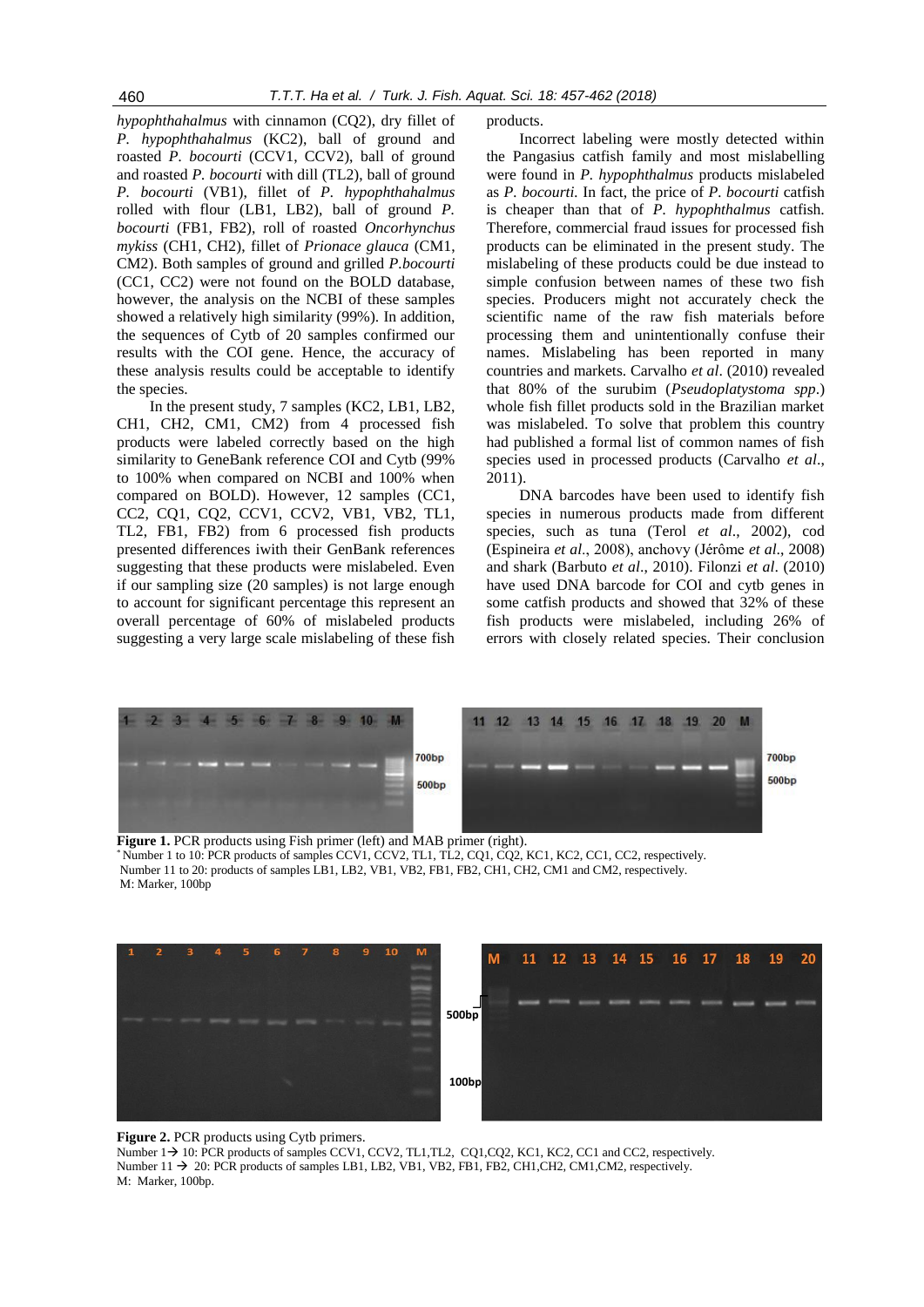*hypophthahalmus* with cinnamon (CQ2), dry fillet of *P. hypophthahalmus* (KC2), ball of ground and roasted *P. bocourti* (CCV1, CCV2), ball of ground and roasted *P. bocourti* with dill (TL2), ball of ground *P. bocourti* (VB1), fillet of *P. hypophthahalmus* rolled with flour (LB1, LB2), ball of ground *P. bocourti* (FB1, FB2), roll of roasted *Oncorhynchus mykiss* (CH1, CH2), fillet of *Prionace glauca* (CM1, CM2). Both samples of ground and grilled *P.bocourti* (CC1, CC2) were not found on the BOLD database, however, the analysis on the NCBI of these samples showed a relatively high similarity (99%). In addition, the sequences of Cytb of 20 samples confirmed our results with the COI gene. Hence, the accuracy of these analysis results could be acceptable to identify the species.

In the present study, 7 samples (KC2, LB1, LB2, CH1, CH2, CM1, CM2) from 4 processed fish products were labeled correctly based on the high similarity to GeneBank reference COI and Cytb (99% to 100% when compared on NCBI and 100% when compared on BOLD). However, 12 samples (CC1, CC2, CQ1, CQ2, CCV1, CCV2, VB1, VB2, TL1, TL2, FB1, FB2) from 6 processed fish products presented differences iwith their GenBank references suggesting that these products were mislabeled. Even if our sampling size (20 samples) is not large enough to account for significant percentage this represent an overall percentage of 60% of mislabeled products suggesting a very large scale mislabeling of these fish products.

Incorrect labeling were mostly detected within the Pangasius catfish family and most mislabelling were found in *P. hypophthalmus* products mislabeled as *P. bocourti.* In fact, the price of *P. bocourti* catfish is cheaper than that of *P. hypophthalmus* catfish. Therefore, commercial fraud issues for processed fish products can be eliminated in the present study. The mislabeling of these products could be due instead to simple confusion between names of these two fish species. Producers might not accurately check the scientific name of the raw fish materials before processing them and unintentionally confuse their names. Mislabeling has been reported in many countries and markets. Carvalho *et al*. (2010) revealed that 80% of the surubim (*Pseudoplatystoma spp*.) whole fish fillet products sold in the Brazilian market was mislabeled. To solve that problem this country had published a formal list of common names of fish species used in processed products (Carvalho *et al*., 2011).

DNA barcodes have been used to identify fish species in numerous products made from different species, such as tuna (Terol *et al*., 2002), cod (Espineira *et al*., 2008), anchovy (Jérôme *et al*., 2008) and shark (Barbuto *et al*., 2010). Filonzi *et al*. (2010) have used DNA barcode for COI and cytb genes in some catfish products and showed that 32% of these fish products were mislabeled, including 26% of errors with closely related species. Their conclusion



**Figure 1.** PCR products using Fish primer (left) and MAB primer (right). \* Number 1 to 10: PCR products of samples CCV1, CCV2, TL1, TL2, CQ1, CQ2, KC1, KC2, CC1, CC2, respectively. Number 11 to 20: products of samples LB1, LB2, VB1, VB2, FB1, FB2, CH1, CH2, CM1 and CM2, respectively. M: Marker, 100bp



#### **Figure 2.** PCR products using Cyth primers.

Number 1  $\rightarrow$  10: PCR products of samples CCV1, CCV2, TL1,TL2, CQ1,CQ2, KC1, KC2, CC1 and CC2, respectively. Number  $11 \rightarrow 20$ : PCR products of samples LB1, LB2, VB1, VB2, FB1, FB2, CH1, CH2, CM1, CM2, respectively. M: Marker, 100bp.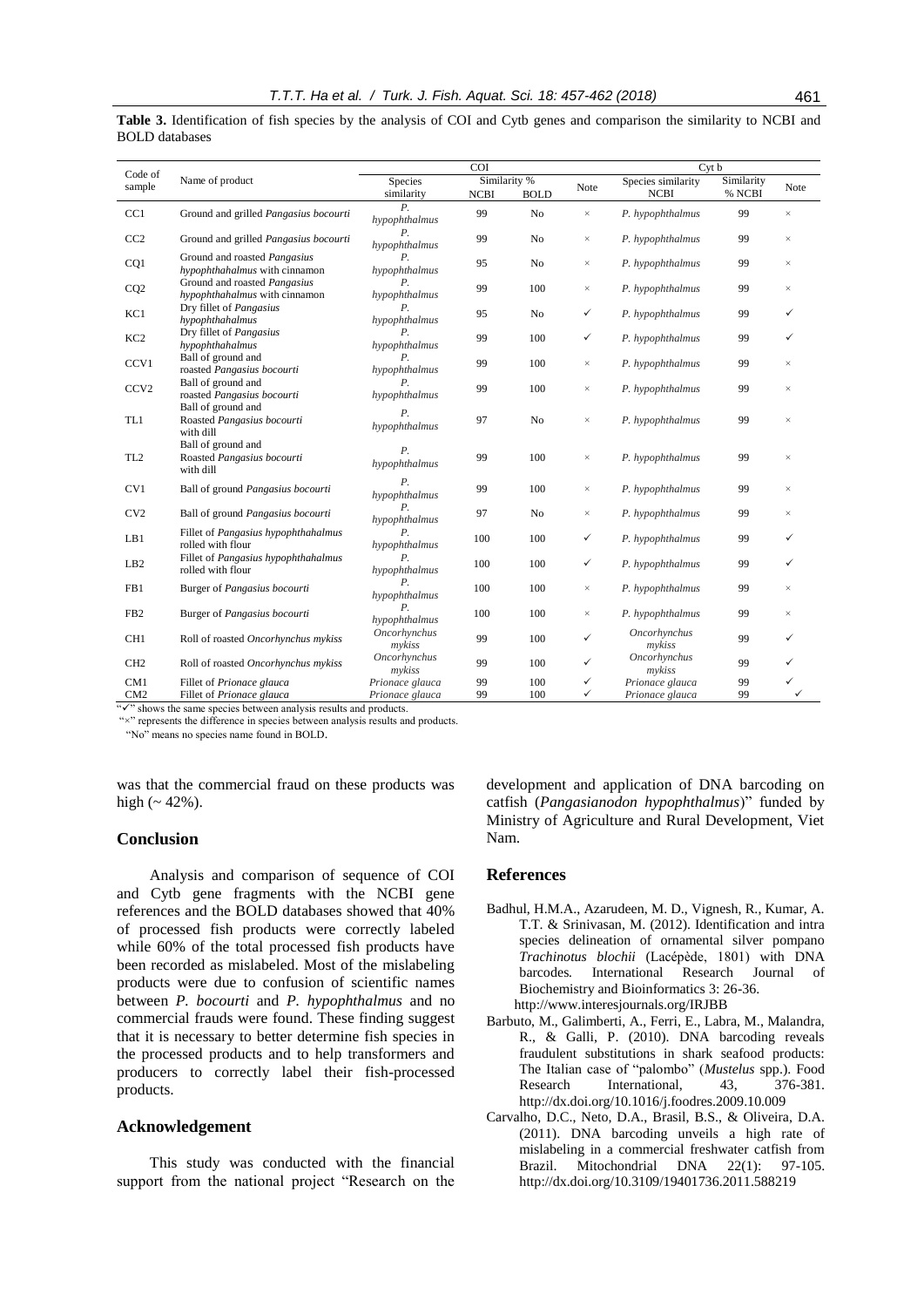Code of<br>sample Name of product COI Cyt b Species similarity Similarity % Note Species similarity<br>NCBI BOLD Note NCBI NCBI Similarity<br>% NCBI NOTE Note NOTE NOTE NOTE NOTE NOTE CC1 Ground and grilled *Pangasius bocourti P. P*.<br> *hypophthalmus* 99 No × *P. hypophthalmus* 99 CC2 Ground and grilled *Pangasius bocourti P. hypophthalmus* <sup>99</sup> No <sup>×</sup> *P. hypophthalmus* <sup>99</sup> <sup>×</sup> CQ1 Ground and roasted *Pangasius hypophthahalmus* with cinnamon  $h$ ypophthalmus *hypophthalmus* <sup>95</sup> No <sup>×</sup> *P. hypophthalmus* <sup>99</sup> <sup>×</sup> CQ2 Ground and roasted *Pangasius hypophthahalmus* with cinnamon *P. P. 99* 100 × *P. hypophthalmus* 99 *hypophthalmus* 99 KC1 Dry fillet of *Pangasius hypophthahalmus P. hypophthalmus* <sup>95</sup> No *P. hypophthalmus* <sup>99</sup> KC2 Dry fillet of *Pangasius hypophthahalmus P. hypophthalmus* <sup>99</sup> <sup>100</sup> *P. hypophthalmus* <sup>99</sup>  $CCV1$  Ball of ground and roasted *Pangasius bocourti P.*<br>hypophthalmus *hypophthalmus* <sup>99</sup> <sup>100</sup> <sup>×</sup> *P. hypophthalmus* <sup>99</sup> <sup>×</sup> CCV<sub>2</sub> Ball of ground and roasted *Pangasius bocourti P. hypophthalmus* <sup>99</sup> <sup>100</sup> <sup>×</sup> *P. hypophthalmus* <sup>99</sup> <sup>×</sup> TL1 Ball of ground and Roasted *Pangasius bocourti* with dill *P. r*. *prophthalmus* 97 No × *P. hypophthalmus* 99 TL2 Ball of ground and Roasted *Pangasius bocourti* with dill *P. hypophthalmus* <sup>99</sup> <sup>100</sup> <sup>×</sup> *P. hypophthalmus* <sup>99</sup> <sup>×</sup> CV1 Ball of ground *Pangasius bocourti P. hypophthalmus* <sup>99</sup> <sup>100</sup> <sup>×</sup> *P. hypophthalmus* <sup>99</sup> <sup>×</sup> CV2 Ball of ground *Pangasius bocourti P. hypophthalmus* <sup>97</sup> No <sup>×</sup> *P. hypophthalmus* <sup>99</sup> <sup>×</sup> LB1 Fillet of *Pangasius hypophthahalmus* rolled with flour *P. hypophthalmus* <sup>100</sup> <sup>100</sup> *P. hypophthalmus* <sup>99</sup> LB2 Fillet of *Pangasius hypophthahalmus* rolled with flour *P. hypophthalmus* <sup>100</sup> <sup>100</sup> *P. hypophthalmus* <sup>99</sup> FB1 Burger of *Pangasius bocourti P. P.*  $\frac{P}{\text{hyp} + P}$  100  $\frac{P}{\text{hyp}} + \frac{P}{\text{hyp}} + \frac{P}{\text{hyp}}$  99 FB2 Burger of *Pangasius bocourti P. hypophthalmus* <sup>100</sup> <sup>100</sup> <sup>×</sup> *P. hypophthalmus* <sup>99</sup> <sup>×</sup> CH1 Roll of roasted *Oncorhynchus mykiss Oncorhynchus mcornynchus* 99 100<br>*mykiss* 99 100 *Oncorhynchus mykiss* <sup>99</sup> CH2 Roll of roasted *Oncorhynchus mykiss Oncorhynchus mykiss* <sup>99</sup> <sup>100</sup> *Oncorhynchus mykiss* <sup>99</sup> CM1 Fillet of *Prionace glauca Prionace glauca* 99 100 *< Prionace glauca* 99<br>CM2 Fillet of *Prionace glauca Prionace glauca* 99 100 *< Prionace glauca* 99 CM2 Fillet of *Prionace glauca Prionace glauca* 99 100 *Prionace glauca* 99

**Table 3.** Identification of fish species by the analysis of COI and Cytb genes and comparison the similarity to NCBI and BOLD databases

"" shows the same species between analysis results and products."

"×" represents the difference in species between analysis results and products.

"No" means no species name found in BOLD.

was that the commercial fraud on these products was high  $($  - 42%).

## **Conclusion**

Analysis and comparison of sequence of COI and Cytb gene fragments with the NCBI gene references and the BOLD databases showed that 40% of processed fish products were correctly labeled while 60% of the total processed fish products have been recorded as mislabeled. Most of the mislabeling products were due to confusion of scientific names between *P. bocourti* and *P. hypophthalmus* and no commercial frauds were found. These finding suggest that it is necessary to better determine fish species in the processed products and to help transformers and producers to correctly label their fish-processed products.

### **Acknowledgement**

This study was conducted with the financial support from the national project "Research on the development and application of DNA barcoding on catfish (*Pangasianodon hypophthalmus*)" funded by Ministry of Agriculture and Rural Development, Viet Nam.

#### **References**

- Badhul, H.M.A., Azarudeen, M. D., Vignesh, R., Kumar, A. T.T. & Srinivasan, M. (2012). Identification and intra species delineation of ornamental silver pompano *Trachinotus blochii* (Lacépède, 1801) with DNA barcodes*.* International Research Journal of Biochemistry and Bioinformatics 3: 26-36. http://www.interesjournals.org/IRJBB
- Barbuto, M., Galimberti, A., Ferri, E., Labra, M., Malandra, R., & Galli, P. (2010). DNA barcoding reveals fraudulent substitutions in shark seafood products: The Italian case of "palombo" (*Mustelus* spp.). Food Research International, 43, 376-381. [http://dx.doi.org/10.1016/j.foodres.2009.10.009](https://doi.org/10.1016/j.foodres.2009.10.009)
- Carvalho, D.C., Neto, D.A., Brasil, B.S., & Oliveira, D.A. (2011). DNA barcoding unveils a high rate of mislabeling in a commercial freshwater catfish from Brazil. Mitochondrial DNA 22(1): 97-105. [http://dx.doi.org/10.3109/19401736.2011.588219](http://doi.org/10.3109/19401736.2011.588219)